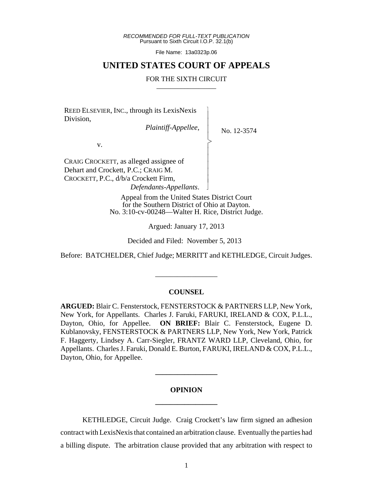*RECOMMENDED FOR FULL-TEXT PUBLICATION* Pursuant to Sixth Circuit I.O.P. 32.1(b)

File Name: 13a0323p.06

## **UNITED STATES COURT OF APPEALS**

#### FOR THE SIXTH CIRCUIT

 $\overline{\phantom{a}}$ - - - > , - - - - - N

REED ELSEVIER, INC., through its LexisNexis Division,

*Plaintiff-Appellee*,

No. 12-3574

v.

CRAIG CROCKETT, as alleged assignee of Dehart and Crockett, P.C.; CRAIG M. CROCKETT, P.C., d/b/a Crockett Firm, *Defendants-Appellants*.

> Appeal from the United States District Court for the Southern District of Ohio at Dayton. No. 3:10-cv-00248—Walter H. Rice, District Judge.

> > Argued: January 17, 2013

Decided and Filed: November 5, 2013

Before: BATCHELDER, Chief Judge; MERRITT and KETHLEDGE, Circuit Judges.

\_\_\_\_\_\_\_\_\_\_\_\_\_\_\_\_\_

#### **COUNSEL**

**ARGUED:** Blair C. Fensterstock, FENSTERSTOCK & PARTNERS LLP, New York, New York, for Appellants. Charles J. Faruki, FARUKI, IRELAND & COX, P.L.L., Dayton, Ohio, for Appellee. **ON BRIEF:** Blair C. Fensterstock, Eugene D. Kublanovsky, FENSTERSTOCK & PARTNERS LLP, New York, New York, Patrick F. Haggerty, Lindsey A. Carr-Siegler, FRANTZ WARD LLP, Cleveland, Ohio, for Appellants. Charles J. Faruki, Donald E. Burton, FARUKI, IRELAND & COX, P.L.L., Dayton, Ohio, for Appellee.

# **OPINION \_\_\_\_\_\_\_\_\_\_\_\_\_\_\_\_\_**

**\_\_\_\_\_\_\_\_\_\_\_\_\_\_\_\_\_**

KETHLEDGE, Circuit Judge. Craig Crockett's law firm signed an adhesion contract with LexisNexis that contained an arbitration clause. Eventually the parties had a billing dispute. The arbitration clause provided that any arbitration with respect to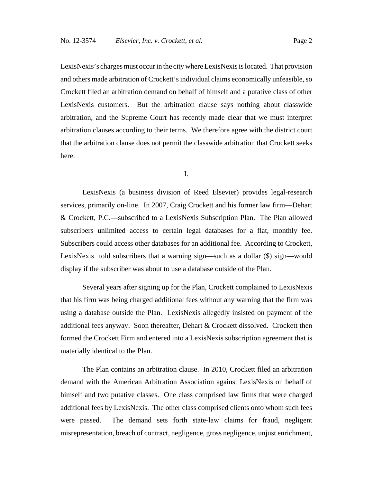LexisNexis's charges must occur in the city where LexisNexis is located. That provision and others made arbitration of Crockett's individual claims economically unfeasible, so Crockett filed an arbitration demand on behalf of himself and a putative class of other LexisNexis customers. But the arbitration clause says nothing about classwide arbitration, and the Supreme Court has recently made clear that we must interpret arbitration clauses according to their terms. We therefore agree with the district court that the arbitration clause does not permit the classwide arbitration that Crockett seeks here.

I.

LexisNexis (a business division of Reed Elsevier) provides legal-research services, primarily on-line. In 2007, Craig Crockett and his former law firm—Dehart & Crockett, P.C.—subscribed to a LexisNexis Subscription Plan. The Plan allowed subscribers unlimited access to certain legal databases for a flat, monthly fee. Subscribers could access other databases for an additional fee. According to Crockett, LexisNexis told subscribers that a warning sign—such as a dollar (\$) sign—would display if the subscriber was about to use a database outside of the Plan.

Several years after signing up for the Plan, Crockett complained to LexisNexis that his firm was being charged additional fees without any warning that the firm was using a database outside the Plan. LexisNexis allegedly insisted on payment of the additional fees anyway. Soon thereafter, Dehart & Crockett dissolved. Crockett then formed the Crockett Firm and entered into a LexisNexis subscription agreement that is materially identical to the Plan.

The Plan contains an arbitration clause. In 2010, Crockett filed an arbitration demand with the American Arbitration Association against LexisNexis on behalf of himself and two putative classes. One class comprised law firms that were charged additional fees by LexisNexis. The other class comprised clients onto whom such fees were passed. The demand sets forth state-law claims for fraud, negligent misrepresentation, breach of contract, negligence, gross negligence, unjust enrichment,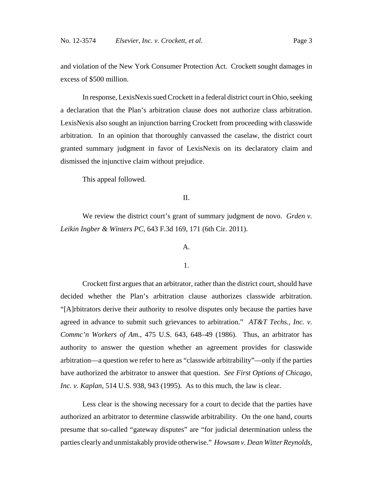and violation of the New York Consumer Protection Act. Crockett sought damages in excess of \$500 million.

In response, LexisNexis sued Crockett in a federal district court in Ohio, seeking a declaration that the Plan's arbitration clause does not authorize class arbitration. LexisNexis also sought an injunction barring Crockett from proceeding with classwide arbitration. In an opinion that thoroughly canvassed the caselaw, the district court granted summary judgment in favor of LexisNexis on its declaratory claim and dismissed the injunctive claim without prejudice.

This appeal followed.

## II.

We review the district court's grant of summary judgment de novo. *Grden v. Leikin Ingber & Winters PC*, 643 F.3d 169, 171 (6th Cir. 2011).

### A.

#### 1.

Crockett first argues that an arbitrator, rather than the district court, should have decided whether the Plan's arbitration clause authorizes classwide arbitration. "[A]rbitrators derive their authority to resolve disputes only because the parties have agreed in advance to submit such grievances to arbitration." *AT&T Techs., Inc. v. Commc'n Workers of Am.*, 475 U.S. 643, 648–49 (1986). Thus, an arbitrator has authority to answer the question whether an agreement provides for classwide arbitration—a question we refer to here as "classwide arbitrability"—only if the parties have authorized the arbitrator to answer that question. *See First Options of Chicago, Inc. v. Kaplan*, 514 U.S. 938, 943 (1995). As to this much, the law is clear.

Less clear is the showing necessary for a court to decide that the parties have authorized an arbitrator to determine classwide arbitrability. On the one hand, courts presume that so-called "gateway disputes" are "for judicial determination unless the parties clearly and unmistakably provide otherwise." *Howsam v. Dean Witter Reynolds,*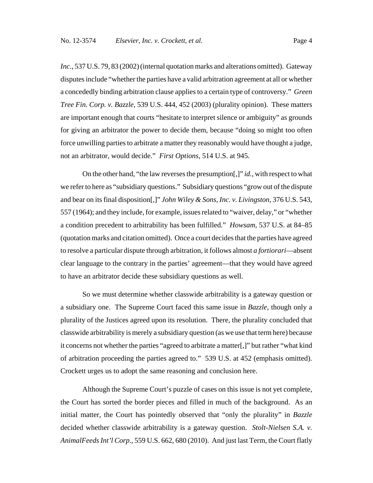*Inc.*, 537 U.S. 79, 83 (2002) (internal quotation marks and alterations omitted). Gateway disputes include "whether the parties have a valid arbitration agreement at all or whether a concededly binding arbitration clause applies to a certain type of controversy." *Green Tree Fin. Corp. v. Bazzle*, 539 U.S. 444, 452 (2003) (plurality opinion). These matters are important enough that courts "hesitate to interpret silence or ambiguity" as grounds for giving an arbitrator the power to decide them, because "doing so might too often force unwilling parties to arbitrate a matter they reasonably would have thought a judge, not an arbitrator, would decide." *First Options*, 514 U.S. at 945.

On the other hand, "the law reverses the presumption[,]" *id.*, with respect to what we refer to here as "subsidiary questions." Subsidiary questions "grow out of the dispute and bear on its final disposition[,]" *John Wiley & Sons, Inc. v. Livingston*, 376 U.S. 543, 557 (1964); and they include, for example, issues related to "waiver, delay," or "whether a condition precedent to arbitrability has been fulfilled." *Howsam*, 537 U.S. at 84–85 (quotation marks and citation omitted). Once a court decides that the parties have agreed to resolve a particular dispute through arbitration, it follows almost *a fortiorari*—absent clear language to the contrary in the parties' agreement—that they would have agreed to have an arbitrator decide these subsidiary questions as well.

So we must determine whether classwide arbitrability is a gateway question or a subsidiary one. The Supreme Court faced this same issue in *Bazzle*, though only a plurality of the Justices agreed upon its resolution. There, the plurality concluded that classwide arbitrability is merely a subsidiary question (as we use that term here) because it concerns not whether the parties "agreed to arbitrate a matter[,]" but rather "what kind of arbitration proceeding the parties agreed to." 539 U.S. at 452 (emphasis omitted). Crockett urges us to adopt the same reasoning and conclusion here.

Although the Supreme Court's puzzle of cases on this issue is not yet complete, the Court has sorted the border pieces and filled in much of the background. As an initial matter, the Court has pointedly observed that "only the plurality" in *Bazzle* decided whether classwide arbitrability is a gateway question. *Stolt-Nielsen S.A. v. AnimalFeeds Int'l Corp*., 559 U.S. 662, 680 (2010). And just last Term, the Court flatly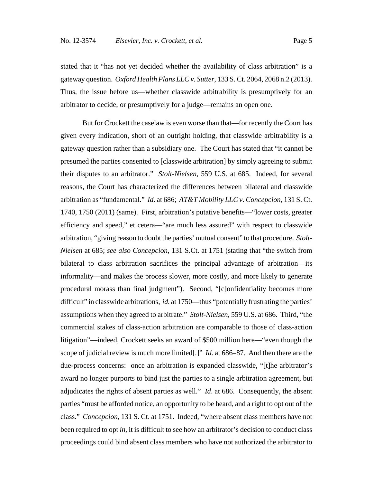stated that it "has not yet decided whether the availability of class arbitration" is a gateway question. *Oxford Health Plans LLC v. Sutter*, 133 S. Ct. 2064, 2068 n.2 (2013). Thus, the issue before us—whether classwide arbitrability is presumptively for an arbitrator to decide, or presumptively for a judge—remains an open one.

But for Crockett the caselaw is even worse than that—for recently the Court has given every indication, short of an outright holding, that classwide arbitrability is a gateway question rather than a subsidiary one. The Court has stated that "it cannot be presumed the parties consented to [classwide arbitration] by simply agreeing to submit their disputes to an arbitrator." *Stolt-Nielsen*, 559 U.S. at 685. Indeed, for several reasons, the Court has characterized the differences between bilateral and classwide arbitration as "fundamental." *Id*. at 686; *AT&T Mobility LLC v. Concepcion*, 131 S. Ct. 1740, 1750 (2011) (same). First, arbitration's putative benefits—"lower costs, greater efficiency and speed," et cetera—"are much less assured" with respect to classwide arbitration, "giving reason to doubt the parties' mutual consent" to that procedure. *Stolt-Nielsen* at 685; *see also Concepcion*, 131 S.Ct. at 1751 (stating that "the switch from bilateral to class arbitration sacrifices the principal advantage of arbitration—its informality—and makes the process slower, more costly, and more likely to generate procedural morass than final judgment"). Second, "[c]onfidentiality becomes more difficult" in classwide arbitrations, *id.* at 1750—thus "potentially frustrating the parties" assumptions when they agreed to arbitrate." *Stolt-Nielsen*, 559 U.S. at 686. Third, "the commercial stakes of class-action arbitration are comparable to those of class-action litigation"—indeed, Crockett seeks an award of \$500 million here—"even though the scope of judicial review is much more limited[.]" *Id*. at 686–87. And then there are the due-process concerns: once an arbitration is expanded classwide, "[t]he arbitrator's award no longer purports to bind just the parties to a single arbitration agreement, but adjudicates the rights of absent parties as well." *Id*. at 686. Consequently, the absent parties "must be afforded notice, an opportunity to be heard, and a right to opt out of the class." *Concepcion*, 131 S. Ct. at 1751. Indeed, "where absent class members have not been required to opt *in*, it is difficult to see how an arbitrator's decision to conduct class proceedings could bind absent class members who have not authorized the arbitrator to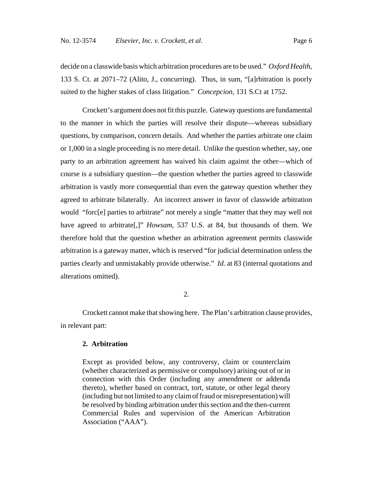decide on a classwide basis which arbitration procedures are to be used." *Oxford Health*, 133 S. Ct. at 2071–72 (Alito, J., concurring). Thus, in sum, "[a]rbitration is poorly suited to the higher stakes of class litigation." *Concepcion*, 131 S.Ct at 1752.

Crockett's argument does not fit this puzzle. Gateway questions are fundamental to the manner in which the parties will resolve their dispute—whereas subsidiary questions, by comparison, concern details. And whether the parties arbitrate one claim or 1,000 in a single proceeding is no mere detail. Unlike the question whether, say, one party to an arbitration agreement has waived his claim against the other—which of course is a subsidiary question—the question whether the parties agreed to classwide arbitration is vastly more consequential than even the gateway question whether they agreed to arbitrate bilaterally. An incorrect answer in favor of classwide arbitration would "forc[e] parties to arbitrate" not merely a single "matter that they may well not have agreed to arbitrate[,]" *Howsam*, 537 U.S. at 84, but thousands of them. We therefore hold that the question whether an arbitration agreement permits classwide arbitration is a gateway matter, which is reserved "for judicial determination unless the parties clearly and unmistakably provide otherwise." *Id*. at 83 (internal quotations and alterations omitted).

#### 2.

Crockett cannot make that showing here. The Plan's arbitration clause provides, in relevant part:

#### **2. Arbitration**

Except as provided below, any controversy, claim or counterclaim (whether characterized as permissive or compulsory) arising out of or in connection with this Order (including any amendment or addenda thereto), whether based on contract, tort, statute, or other legal theory (including but not limited to any claim of fraud or misrepresentation) will be resolved by binding arbitration under this section and the then-current Commercial Rules and supervision of the American Arbitration Association ("AAA").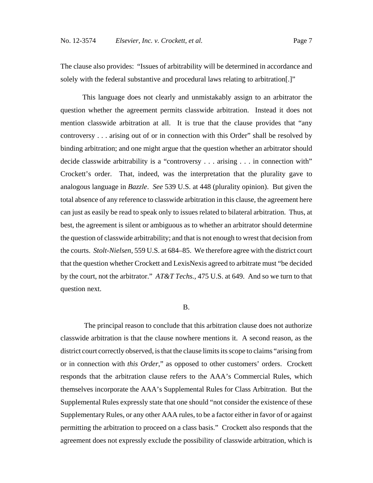The clause also provides: "Issues of arbitrability will be determined in accordance and solely with the federal substantive and procedural laws relating to arbitration[.]"

This language does not clearly and unmistakably assign to an arbitrator the question whether the agreement permits classwide arbitration. Instead it does not mention classwide arbitration at all. It is true that the clause provides that "any controversy . . . arising out of or in connection with this Order" shall be resolved by binding arbitration; and one might argue that the question whether an arbitrator should decide classwide arbitrability is a "controversy . . . arising . . . in connection with" Crockett's order. That, indeed, was the interpretation that the plurality gave to analogous language in *Bazzle*. *See* 539 U.S. at 448 (plurality opinion). But given the total absence of any reference to classwide arbitration in this clause, the agreement here can just as easily be read to speak only to issues related to bilateral arbitration. Thus, at best, the agreement is silent or ambiguous as to whether an arbitrator should determine the question of classwide arbitrability; and that is not enough to wrest that decision from the courts. *Stolt-Nielsen*, 559 U.S. at 684–85. We therefore agree with the district court that the question whether Crockett and LexisNexis agreed to arbitrate must "be decided by the court, not the arbitrator." *AT&T Techs.*, 475 U.S. at 649. And so we turn to that question next.

#### B.

 The principal reason to conclude that this arbitration clause does not authorize classwide arbitration is that the clause nowhere mentions it. A second reason, as the district court correctly observed, is that the clause limits its scope to claims "arising from or in connection with *this Order*," as opposed to other customers' orders. Crockett responds that the arbitration clause refers to the AAA's Commercial Rules, which themselves incorporate the AAA's Supplemental Rules for Class Arbitration. But the Supplemental Rules expressly state that one should "not consider the existence of these Supplementary Rules, or any other AAA rules, to be a factor either in favor of or against permitting the arbitration to proceed on a class basis." Crockett also responds that the agreement does not expressly exclude the possibility of classwide arbitration, which is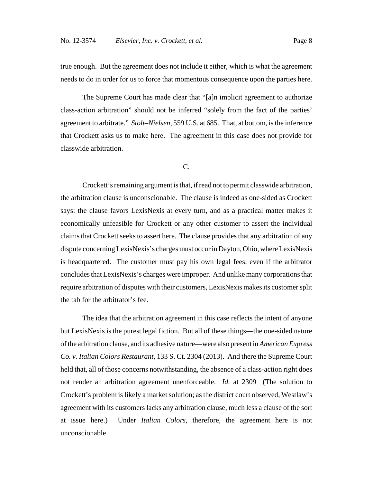true enough. But the agreement does not include it either, which is what the agreement needs to do in order for us to force that momentous consequence upon the parties here.

The Supreme Court has made clear that "[a]n implicit agreement to authorize class-action arbitration" should not be inferred "solely from the fact of the parties' agreement to arbitrate." *Stolt–Nielsen*, 559 U.S. at 685. That, at bottom, is the inference that Crockett asks us to make here. The agreement in this case does not provide for classwide arbitration.

#### C.

Crockett's remaining argument is that, if read not to permit classwide arbitration, the arbitration clause is unconscionable. The clause is indeed as one-sided as Crockett says: the clause favors LexisNexis at every turn, and as a practical matter makes it economically unfeasible for Crockett or any other customer to assert the individual claims that Crockett seeks to assert here. The clause provides that any arbitration of any dispute concerning LexisNexis's charges must occur in Dayton, Ohio, where LexisNexis is headquartered. The customer must pay his own legal fees, even if the arbitrator concludes that LexisNexis's charges were improper. And unlike many corporations that require arbitration of disputes with their customers, LexisNexis makes its customer split the tab for the arbitrator's fee.

 The idea that the arbitration agreement in this case reflects the intent of anyone but LexisNexis is the purest legal fiction. But all of these things—the one-sided nature of the arbitration clause, and its adhesive nature—were also present in *American Express Co. v. Italian Colors Restaurant*, 133 S. Ct. 2304 (2013). And there the Supreme Court held that, all of those concerns notwithstanding, the absence of a class-action right does not render an arbitration agreement unenforceable. *Id.* at 2309 (The solution to Crockett's problem is likely a market solution; as the district court observed, Westlaw's agreement with its customers lacks any arbitration clause, much less a clause of the sort at issue here.) Under *Italian Colors*, therefore, the agreement here is not unconscionable.